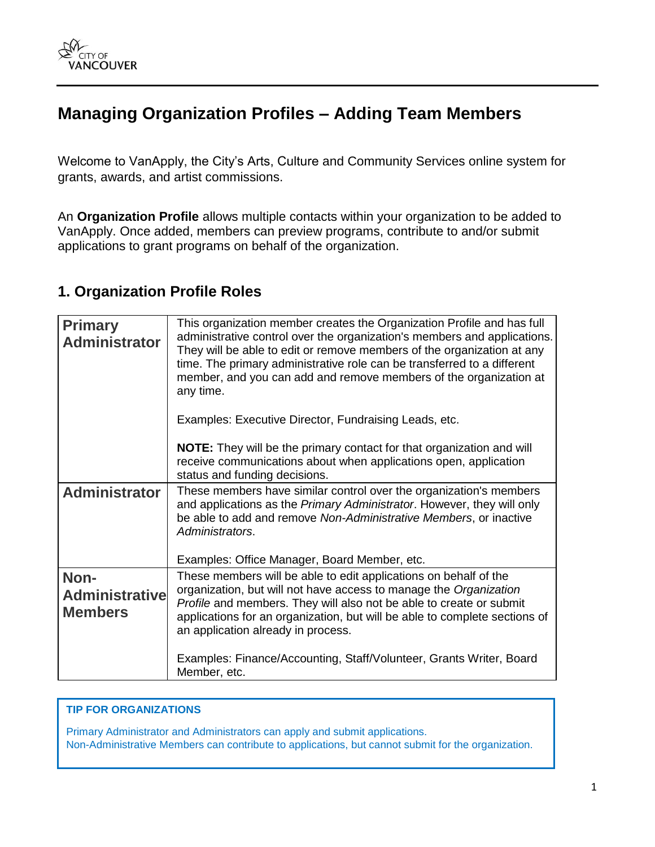# **Managing Organization Profiles – Adding Team Members**

Welcome to VanApply, the City's Arts, Culture and Community Services online system for grants, awards, and artist commissions.

An **Organization Profile** allows multiple contacts within your organization to be added to VanApply. Once added, members can preview programs, contribute to and/or submit applications to grant programs on behalf of the organization.

## **1. Organization Profile Roles**

| <b>Primary</b><br><b>Administrator</b>          | This organization member creates the Organization Profile and has full<br>administrative control over the organization's members and applications.<br>They will be able to edit or remove members of the organization at any<br>time. The primary administrative role can be transferred to a different<br>member, and you can add and remove members of the organization at<br>any time.<br>Examples: Executive Director, Fundraising Leads, etc. |
|-------------------------------------------------|----------------------------------------------------------------------------------------------------------------------------------------------------------------------------------------------------------------------------------------------------------------------------------------------------------------------------------------------------------------------------------------------------------------------------------------------------|
|                                                 | <b>NOTE:</b> They will be the primary contact for that organization and will<br>receive communications about when applications open, application<br>status and funding decisions.                                                                                                                                                                                                                                                                  |
| <b>Administrator</b>                            | These members have similar control over the organization's members<br>and applications as the Primary Administrator. However, they will only<br>be able to add and remove Non-Administrative Members, or inactive<br>Administrators.                                                                                                                                                                                                               |
|                                                 | Examples: Office Manager, Board Member, etc.                                                                                                                                                                                                                                                                                                                                                                                                       |
| Non-<br><b>Administrative</b><br><b>Members</b> | These members will be able to edit applications on behalf of the<br>organization, but will not have access to manage the Organization<br>Profile and members. They will also not be able to create or submit<br>applications for an organization, but will be able to complete sections of<br>an application already in process.                                                                                                                   |
|                                                 | Examples: Finance/Accounting, Staff/Volunteer, Grants Writer, Board<br>Member, etc.                                                                                                                                                                                                                                                                                                                                                                |

#### **TIP FOR ORGANIZATIONS**

Primary Administrator and Administrators can apply and submit applications. Non-Administrative Members can contribute to applications, but cannot submit for the organization.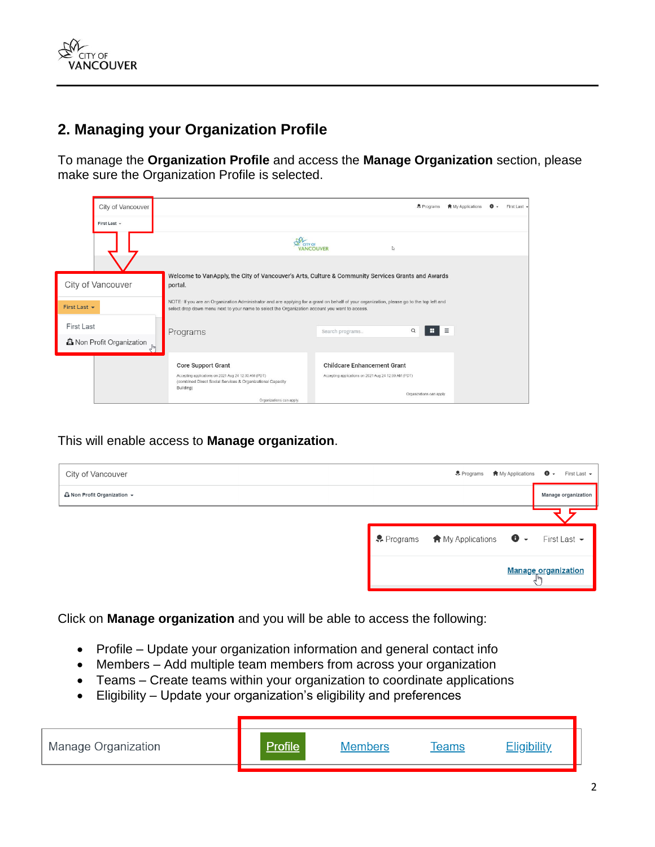

## **2. Managing your Organization Profile**

To manage the **Organization Profile** and access the **Manage Organization** section, please make sure the Organization Profile is selected.

|              | City of Vancouver                |                                                                                                                                                                                                                                             |                                                      | Programs                 | <b>食</b> My Applications | First Last - |
|--------------|----------------------------------|---------------------------------------------------------------------------------------------------------------------------------------------------------------------------------------------------------------------------------------------|------------------------------------------------------|--------------------------|--------------------------|--------------|
|              | First Last -                     |                                                                                                                                                                                                                                             |                                                      |                          |                          |              |
|              |                                  |                                                                                                                                                                                                                                             |                                                      | L)                       |                          |              |
|              |                                  |                                                                                                                                                                                                                                             |                                                      |                          |                          |              |
|              | City of Vancouver                | Welcome to VanApply, the City of Vancouver's Arts, Culture & Community Services Grants and Awards<br>portal.                                                                                                                                |                                                      |                          |                          |              |
| First Last + |                                  | NOTE: If you are an Organization Administrator and are applying for a grant on behalf of your organization, please go to the top left and<br>select drop down menu next to your name to select the Organization account you want to access. |                                                      |                          |                          |              |
| First Last   |                                  | Programs                                                                                                                                                                                                                                    | Search programs                                      | н<br>$\alpha$            | $\equiv$                 |              |
|              | <b>心</b> Non Profit Organization |                                                                                                                                                                                                                                             |                                                      |                          |                          |              |
|              |                                  | <b>Core Support Grant</b>                                                                                                                                                                                                                   | <b>Childcare Enhancement Grant</b>                   |                          |                          |              |
|              |                                  | Accepting applications on 2021 Aug 24 12:00 AM (PDT)<br>(combined Direct Social Services & Organizational Capacity<br>Building)                                                                                                             | Accepting applications on 2021 Aug 24 12:00 AM (PDT) |                          |                          |              |
|              |                                  | Organizations can apply.                                                                                                                                                                                                                    |                                                      | Organizations can apply. |                          |              |

This will enable access to **Manage organization**.

| City of Vancouver                   |                                             | • Programs ★ My Applications | $\bullet$ - | First Last $\star$  |
|-------------------------------------|---------------------------------------------|------------------------------|-------------|---------------------|
| <b>Li</b> Non Profit Organization ▼ |                                             |                              |             | Manage organization |
|                                     |                                             |                              |             |                     |
|                                     | • Programs A My Applications + First Last - |                              |             |                     |
|                                     |                                             | <b>Manage organization</b>   |             |                     |

Click on **Manage organization** and you will be able to access the following:

- Profile Update your organization information and general contact info
- Members Add multiple team members from across your organization
- Teams Create teams within your organization to coordinate applications
- Eligibility Update your organization's eligibility and preferences

| Manage Organization | Profile <sup>1</sup> | <b>Members</b> | Teams | <b>Eligibility</b> |
|---------------------|----------------------|----------------|-------|--------------------|
|                     |                      |                |       |                    |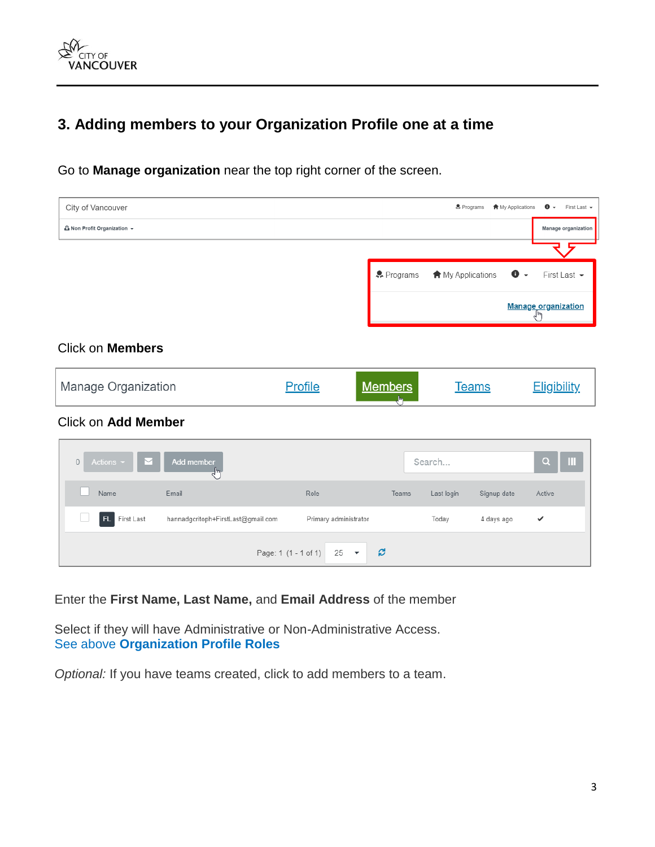

## **3. Adding members to your Organization Profile one at a time**

Go to **Manage organization** near the top right corner of the screen.

| City of Vancouver                         |                                    |                                                      |                     | Programs          | <b>A</b> My Applications | $\bullet$<br>First Last -<br>$\cdot$                   |
|-------------------------------------------|------------------------------------|------------------------------------------------------|---------------------|-------------------|--------------------------|--------------------------------------------------------|
| <b><i>L</i></b> Non Profit Organization ▼ |                                    |                                                      |                     |                   |                          | Manage organization                                    |
|                                           |                                    |                                                      |                     |                   |                          |                                                        |
|                                           |                                    |                                                      | & Programs          | A My Applications | $\mathbf 0$ .            | First Last -                                           |
|                                           |                                    |                                                      |                     |                   |                          | $\underbrace{\text{Manager organization}}_{\text{Im}}$ |
| <b>Click on Members</b>                   |                                    |                                                      |                     |                   |                          |                                                        |
| Manage Organization                       |                                    | <b>Profile</b>                                       | <b>Members</b><br>b |                   | <b>Teams</b>             | <b>Eligibility</b>                                     |
| <b>Click on Add Member</b>                |                                    |                                                      |                     |                   |                          |                                                        |
| Actions -<br>$\mathbf 0$<br>$\smile$      | <b>Add member</b><br>رساخ          |                                                      |                     | Search            |                          | Ш<br>$\alpha$                                          |
| Name                                      | Email                              | Role                                                 | Teams               | Last login        | Signup date              | Active                                                 |
| First Last<br>FL.                         | hannadgcritoph+FirstLast@gmail.com | Primary administrator                                |                     | Today             | 4 days ago               | ✓                                                      |
|                                           |                                    | Page: 1 (1 - 1 of 1)<br>25<br>$\overline{\mathbf v}$ | ø                   |                   |                          |                                                        |

Enter the **First Name, Last Name,** and **Email Address** of the member

Select if they will have Administrative or Non-Administrative Access. See above **Organization Profile Roles**

*Optional:* If you have teams created, click to add members to a team.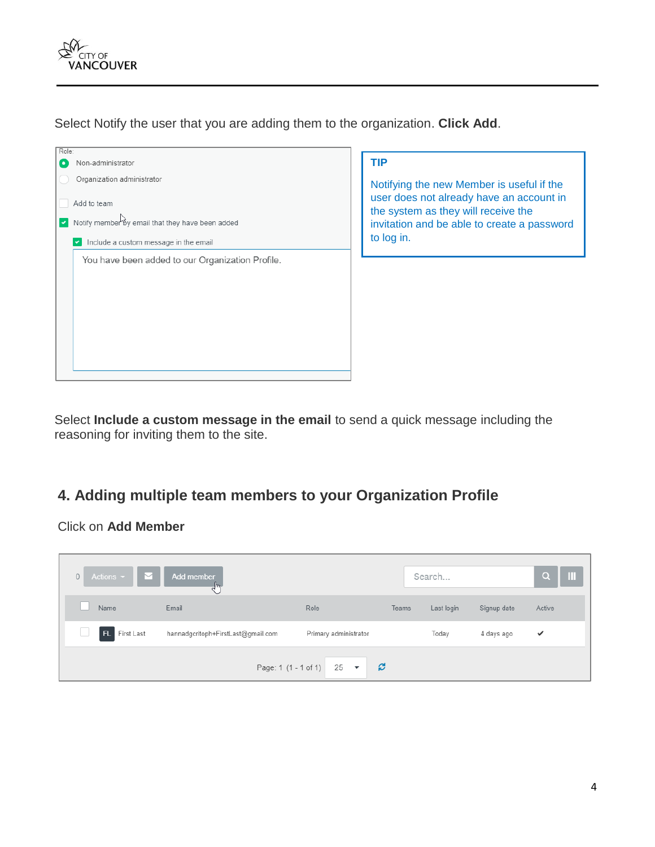

Select Notify the user that you are adding them to the organization. **Click Add**.



Select **Include a custom message in the email** to send a quick message including the reasoning for inviting them to the site.

## **4. Adding multiple team members to your Organization Profile**

Click on **Add Member**

| Actions $\sim$ $\blacksquare$<br>$\overline{0}$ | Add member                         |                                |       | Search     |             | $\blacksquare$<br>Q |
|-------------------------------------------------|------------------------------------|--------------------------------|-------|------------|-------------|---------------------|
| Name                                            | Email                              | Role                           | Teams | Last login | Signup date | Active              |
| <b>FL</b><br>First Last                         | hannadgcritoph+FirstLast@gmail.com | Primary administrator          |       | Today      | 4 days ago  | $\checkmark$        |
|                                                 |                                    | B<br>Page: 1 (1 - 1 of 1) 25 ▼ |       |            |             |                     |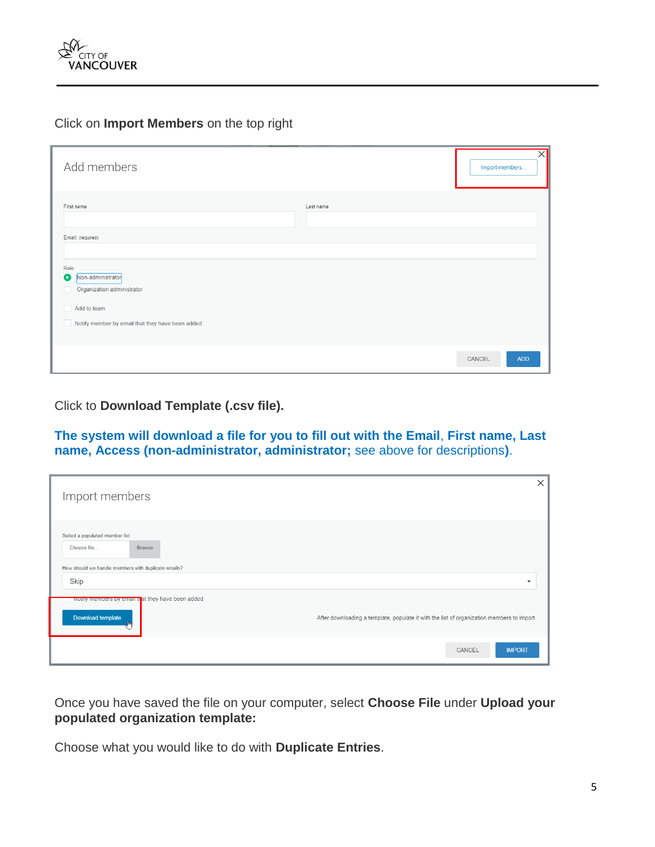

#### Click on **Import Members** on the top right

| Add members                                                                          |           | $\times$<br>Import members |
|--------------------------------------------------------------------------------------|-----------|----------------------------|
| First name                                                                           | Last name |                            |
| Email: (required)                                                                    |           |                            |
| Role:<br>Non-administrator<br>$\overline{\phantom{a}}$<br>Organization administrator |           |                            |
| Add to team<br>Notify member by email that they have been added                      |           |                            |
|                                                                                      |           | CANCEL<br><b>ADD</b>       |

Click to **Download Template (.csv file).** 

**The system will download a file for you to fill out with the Email**, **First name, Last name, Access (non-administrator, administrator;** see above for descriptions**)**.

| Import members                                                                                                 | X                                                                                          |
|----------------------------------------------------------------------------------------------------------------|--------------------------------------------------------------------------------------------|
| Select a populated member list<br>Choose file<br>Browse<br>How should we handle members with duplicate emails? |                                                                                            |
| Skip<br>Notify members by email that they have been added                                                      | ▼                                                                                          |
| Download template                                                                                              | After downloading a template, populate it with the list of organization members to import. |
|                                                                                                                | <b>IMPORT</b><br>CANCEL                                                                    |

Once you have saved the file on your computer, select **Choose File** under **Upload your populated organization template:**

Choose what you would like to do with **Duplicate Entries**.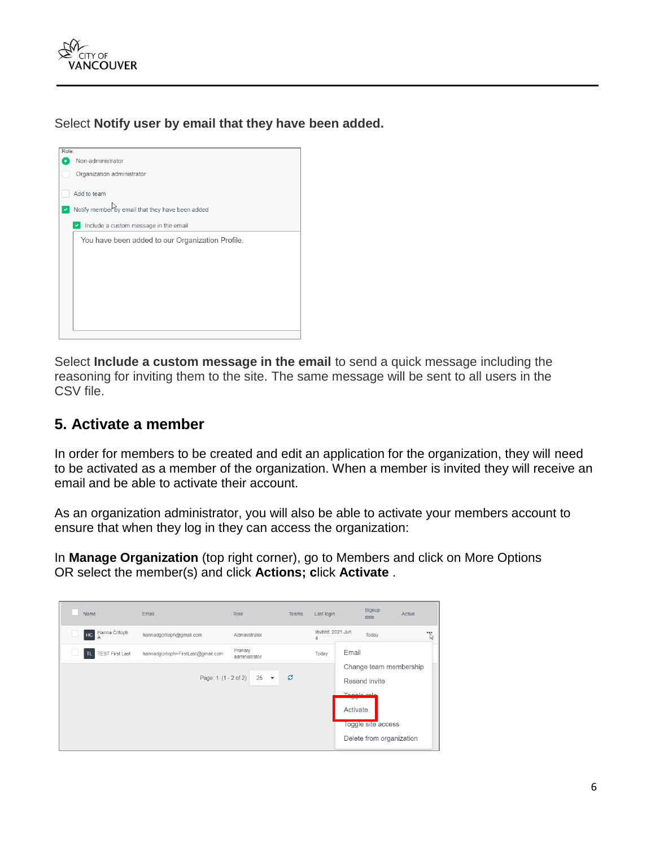

Select **Notify user by email that they have been added.**



Select **Include a custom message in the email** to send a quick message including the reasoning for inviting them to the site. The same message will be sent to all users in the CSV file.

## **5. Activate a member**

In order for members to be created and edit an application for the organization, they will need to be activated as a member of the organization. When a member is invited they will receive an email and be able to activate their account.

As an organization administrator, you will also be able to activate your members account to ensure that when they log in they can access the organization:

In **Manage Organization** (top right corner), go to Members and click on More Options OR select the member(s) and click **Actions; c**lick **Activate** .